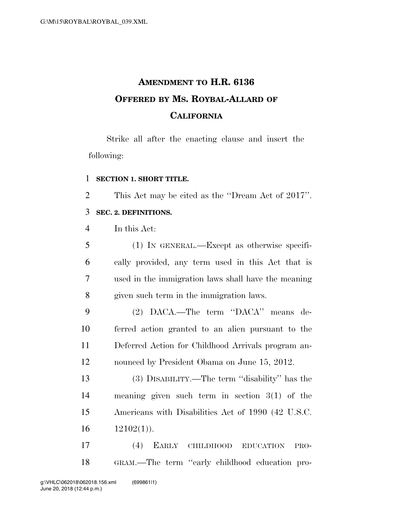# **AMENDMENT TO H.R. 6136 OFFERED BY MS. ROYBAL-ALLARD OF CALIFORNIA**

Strike all after the enacting clause and insert the following:

#### **SECTION 1. SHORT TITLE.**

This Act may be cited as the ''Dream Act of 2017''.

### **SEC. 2. DEFINITIONS.**

In this Act:

| 5               | (1) IN GENERAL.—Except as otherwise specifi-        |
|-----------------|-----------------------------------------------------|
| 6               | cally provided, any term used in this Act that is   |
| $7\phantom{.0}$ | used in the immigration laws shall have the meaning |
| 8               | given such term in the immigration laws.            |

 (2) DACA.—The term ''DACA'' means de- ferred action granted to an alien pursuant to the Deferred Action for Childhood Arrivals program an-nounced by President Obama on June 15, 2012.

 (3) DISABILITY.—The term ''disability'' has the meaning given such term in section 3(1) of the Americans with Disabilities Act of 1990 (42 U.S.C.  $16 \qquad 12102(1)$ .

 (4) EARLY CHILDHOOD EDUCATION PRO-GRAM.—The term ''early childhood education pro-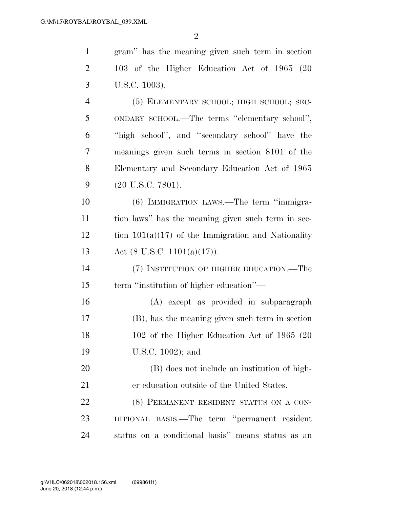gram'' has the meaning given such term in section

 103 of the Higher Education Act of 1965 (20 U.S.C. 1003). (5) ELEMENTARY SCHOOL; HIGH SCHOOL; SEC- ONDARY SCHOOL.—The terms ''elementary school'', ''high school'', and ''secondary school'' have the meanings given such terms in section 8101 of the Elementary and Secondary Education Act of 1965 (20 U.S.C. 7801). (6) IMMIGRATION LAWS.—The term ''immigra- tion laws'' has the meaning given such term in sec- tion  $101(a)(17)$  of the Immigration and Nationality Act (8 U.S.C. 1101(a)(17)). (7) INSTITUTION OF HIGHER EDUCATION.—The term ''institution of higher education''— (A) except as provided in subparagraph (B), has the meaning given such term in section 102 of the Higher Education Act of 1965 (20 U.S.C. 1002); and (B) does not include an institution of high- er education outside of the United States. 22 (8) PERMANENT RESIDENT STATUS ON A CON-

 DITIONAL BASIS.—The term ''permanent resident status on a conditional basis'' means status as an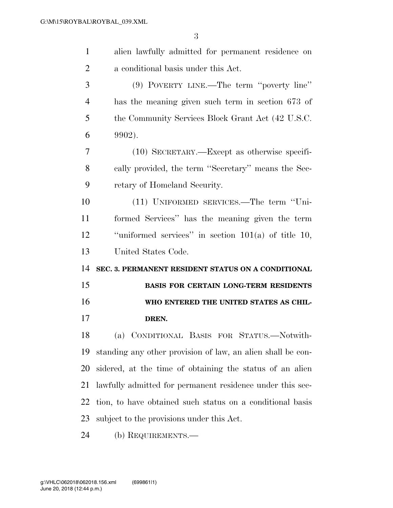| $\mathbf{1}$   | alien lawfully admitted for permanent residence on          |
|----------------|-------------------------------------------------------------|
| $\overline{2}$ | a conditional basis under this Act.                         |
| 3              | $(9)$ POVERTY LINE.—The term "poverty line"                 |
| $\overline{4}$ | has the meaning given such term in section 673 of           |
| 5              | the Community Services Block Grant Act (42 U.S.C.           |
| 6              | 9902).                                                      |
| 7              | $(10)$ SECRETARY.—Except as otherwise specifi-              |
| 8              | cally provided, the term "Secretary" means the Sec-         |
| 9              | retary of Homeland Security.                                |
| 10             | (11) UNIFORMED SERVICES.—The term "Uni-                     |
| 11             | formed Services" has the meaning given the term             |
| 12             | "uniformed services" in section $101(a)$ of title 10,       |
|                |                                                             |
| 13             | United States Code.                                         |
| 14             | SEC. 3. PERMANENT RESIDENT STATUS ON A CONDITIONAL          |
| 15             | BASIS FOR CERTAIN LONG-TERM RESIDENTS                       |
| 16             | WHO ENTERED THE UNITED STATES AS CHIL-                      |
| 17             | DREN.                                                       |
| 18             | (a) CONDITIONAL BASIS FOR STATUS.—Notwith-                  |
| 19             | standing any other provision of law, an alien shall be con- |
| 20             | sidered, at the time of obtaining the status of an alien    |
| 21             | lawfully admitted for permanent residence under this sec-   |
| 22             | tion, to have obtained such status on a conditional basis   |
| 23             | subject to the provisions under this Act.                   |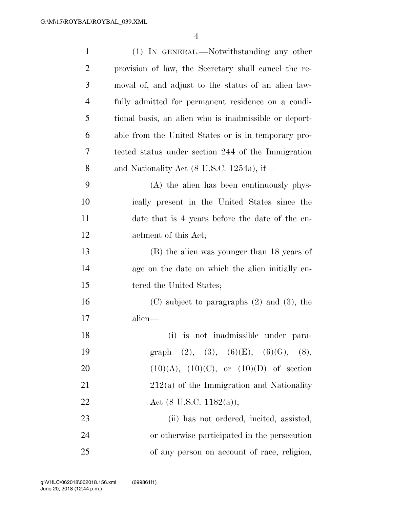| $\mathbf{1}$   | (1) IN GENERAL.—Notwithstanding any other             |
|----------------|-------------------------------------------------------|
| $\overline{c}$ | provision of law, the Secretary shall cancel the re-  |
| 3              | moval of, and adjust to the status of an alien law-   |
| $\overline{4}$ | fully admitted for permanent residence on a condi-    |
| 5              | tional basis, an alien who is inadmissible or deport- |
| 6              | able from the United States or is in temporary pro-   |
| 7              | tected status under section 244 of the Immigration    |
| 8              | and Nationality Act $(8 \text{ U.S.C. } 1254a)$ , if— |
| 9              | (A) the alien has been continuously phys-             |
| 10             | ically present in the United States since the         |
| 11             | date that is 4 years before the date of the en-       |
| 12             | actment of this Act;                                  |
| 13             | (B) the alien was younger than 18 years of            |
| 14             | age on the date on which the alien initially en-      |
| 15             | tered the United States;                              |
| 16             | $(C)$ subject to paragraphs $(2)$ and $(3)$ , the     |
| 17             | alien—                                                |
| 18             | (i) is not inadmissible under para-                   |
| 19             | graph (2), (3), (6)(E), (6)(G), (8),                  |
| 20             | $(10)(A), (10)(C),$ or $(10)(D)$ of section           |
| 21             | $212(a)$ of the Immigration and Nationality           |
| 22             | Act $(8 \text{ U.S.C. } 1182(a));$                    |
| 23             | (ii) has not ordered, incited, assisted,              |
| 24             | or otherwise participated in the persecution          |
| 25             | of any person on account of race, religion,           |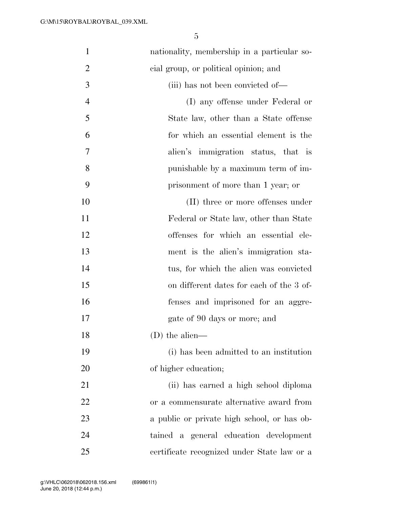| $\mathbf{1}$   | nationality, membership in a particular so- |
|----------------|---------------------------------------------|
| $\overline{2}$ | eial group, or political opinion; and       |
| 3              | (iii) has not been convicted of—            |
| $\overline{4}$ | (I) any offense under Federal or            |
| 5              | State law, other than a State offense       |
| 6              | for which an essential element is the       |
| 7              | alien's immigration status, that is         |
| 8              | punishable by a maximum term of im-         |
| 9              | prisonment of more than 1 year; or          |
| 10             | (II) three or more offenses under           |
| 11             | Federal or State law, other than State      |
| 12             | offenses for which an essential ele-        |
| 13             | ment is the alien's immigration sta-        |
| 14             | tus, for which the alien was convicted      |
| 15             | on different dates for each of the 3 of-    |
| 16             | fenses and imprisoned for an aggre-         |
| 17             | gate of 90 days or more; and                |
| 18             | (D) the alien—                              |
| 19             | (i) has been admitted to an institution     |
| 20             | of higher education;                        |
| 21             | (ii) has earned a high school diploma       |
| 22             | or a commensurate alternative award from    |
| 23             | a public or private high school, or has ob- |
| 24             | tained a general education development      |
| 25             | certificate recognized under State law or a |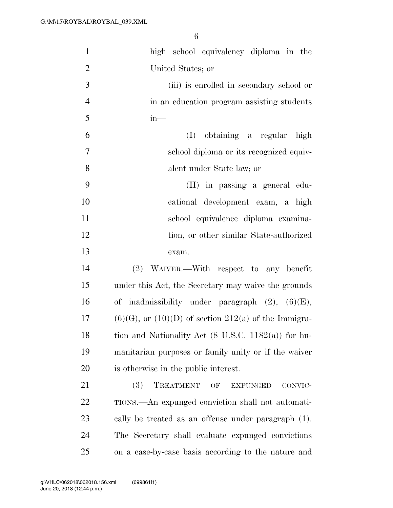| $\mathbf{1}$   | high school equivalency diploma in the                      |
|----------------|-------------------------------------------------------------|
| $\overline{2}$ | United States; or                                           |
| 3              | (iii) is enrolled in secondary school or                    |
| $\overline{4}$ | in an education program assisting students                  |
| 5              | $in-$                                                       |
| 6              | obtaining a regular high<br>(I)                             |
| $\overline{7}$ | school diploma or its recognized equiv-                     |
| 8              | alent under State law; or                                   |
| 9              | (II) in passing a general edu-                              |
| 10             | cational development exam, a high                           |
| 11             | school equivalence diploma examina-                         |
| 12             | tion, or other similar State-authorized                     |
| 13             | exam.                                                       |
| 14             | (2) WAIVER.—With respect to any benefit                     |
| 15             | under this Act, the Secretary may waive the grounds         |
| 16             | of inadmissibility under paragraph $(2)$ , $(6)(E)$ ,       |
| 17             | $(6)(G)$ , or $(10)(D)$ of section $212(a)$ of the Immigra- |
| 18             | tion and Nationality Act (8 U.S.C. 1182(a)) for hu-         |
| 19             | manitarian purposes or family unity or if the waiver        |
| 20             | is otherwise in the public interest.                        |
| 21             | (3)<br>TREATMENT<br>OF<br><b>EXPUNGED</b><br>CONVIC-        |
| 22             | TIONS.—An expunged conviction shall not automati-           |
| 23             | cally be treated as an offense under paragraph (1).         |
| 24             | The Secretary shall evaluate expunged convictions           |
| 25             | on a case-by-case basis according to the nature and         |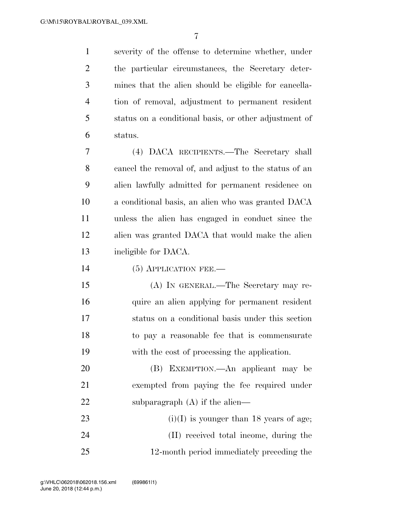severity of the offense to determine whether, under the particular circumstances, the Secretary deter- mines that the alien should be eligible for cancella- tion of removal, adjustment to permanent resident status on a conditional basis, or other adjustment of status.

 (4) DACA RECIPIENTS.—The Secretary shall cancel the removal of, and adjust to the status of an alien lawfully admitted for permanent residence on a conditional basis, an alien who was granted DACA unless the alien has engaged in conduct since the alien was granted DACA that would make the alien ineligible for DACA.

14 (5) APPLICATION FEE.

 (A) IN GENERAL.—The Secretary may re- quire an alien applying for permanent resident status on a conditional basis under this section to pay a reasonable fee that is commensurate with the cost of processing the application.

 (B) EXEMPTION.—An applicant may be exempted from paying the fee required under 22 subparagraph (A) if the alien—

23 (i)(I) is younger than 18 years of age; (II) received total income, during the 12-month period immediately preceding the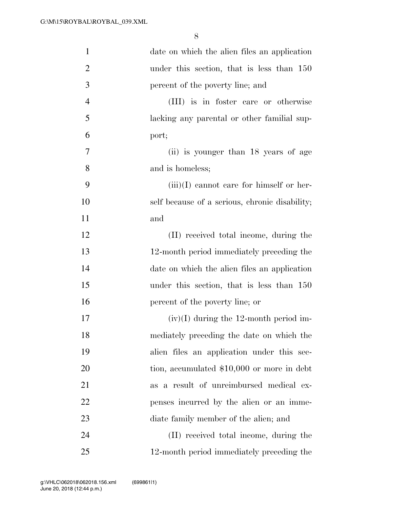| $\mathbf{1}$   | date on which the alien files an application   |
|----------------|------------------------------------------------|
| $\overline{2}$ | under this section, that is less than 150      |
| 3              | percent of the poverty line; and               |
| $\overline{4}$ | (III) is in foster care or otherwise           |
| 5              | lacking any parental or other familial sup-    |
| 6              | port;                                          |
| 7              | (ii) is younger than 18 years of age           |
| 8              | and is homeless;                               |
| 9              | $(iii)(I)$ cannot care for himself or her-     |
| 10             | self because of a serious, chronic disability; |
| 11             | and                                            |
| 12             | (II) received total income, during the         |
| 13             | 12-month period immediately preceding the      |
| 14             | date on which the alien files an application   |
| 15             | under this section, that is less than 150      |
| 16             | percent of the poverty line; or                |
| $17\,$         | $(iv)(I)$ during the 12-month period im-       |
| 18             | mediately preceding the date on which the      |
| 19             | alien files an application under this sec-     |
| 20             | tion, accumulated $$10,000$ or more in debt    |
| 21             | as a result of unreimbursed medical ex-        |
| 22             | penses incurred by the alien or an imme-       |
| 23             | diate family member of the alien; and          |
| 24             | (II) received total income, during the         |
| 25             | 12-month period immediately preceding the      |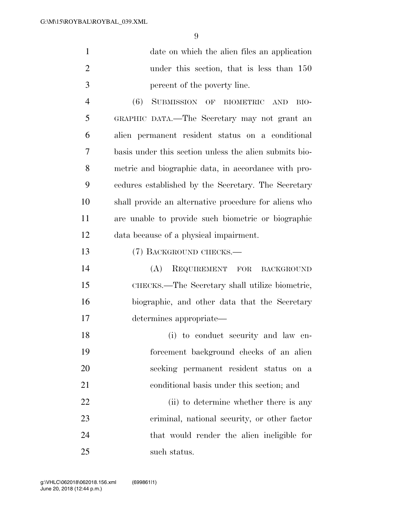| $\mathbf{1}$   | date on which the alien files an application           |
|----------------|--------------------------------------------------------|
| $\overline{2}$ | under this section, that is less than 150              |
| 3              | percent of the poverty line.                           |
| $\overline{4}$ | (6)<br>SUBMISSION OF BIOMETRIC AND<br>BIO-             |
| 5              | GRAPHIC DATA.-The Secretary may not grant an           |
| 6              | alien permanent resident status on a conditional       |
| 7              | basis under this section unless the alien submits bio- |
| 8              | metric and biographic data, in accordance with pro-    |
| 9              | cedures established by the Secretary. The Secretary    |
| 10             | shall provide an alternative procedure for aliens who  |
| 11             | are unable to provide such biometric or biographic     |
| 12             | data because of a physical impairment.                 |
| 13             | (7) BACKGROUND CHECKS.                                 |
| 14             | (A)<br>REQUIREMENT FOR BACKGROUND                      |
| 15             | CHECKS.—The Secretary shall utilize biometric,         |
| 16             | biographic, and other data that the Secretary          |
| 17             | determines appropriate—                                |
| 18             | (i) to conduct security and law en-                    |
| 19             | forcement background checks of an alien                |
| 20             | seeking permanent resident status on a                 |
| 21             | conditional basis under this section; and              |
|                |                                                        |

 criminal, national security, or other factor that would render the alien ineligible for such status.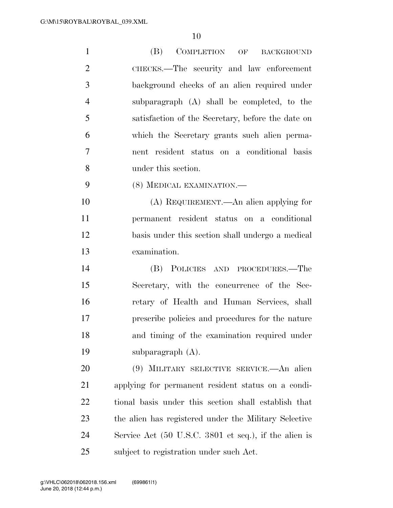| $\mathbf{1}$   | (B)<br>COMPLETION OF<br><b>BACKGROUND</b>             |
|----------------|-------------------------------------------------------|
| $\overline{2}$ | CHECKS.—The security and law enforcement              |
| 3              | background checks of an alien required under          |
| $\overline{4}$ | subparagraph (A) shall be completed, to the           |
| 5              | satisfaction of the Secretary, before the date on     |
| 6              | which the Secretary grants such alien perma-          |
| $\overline{7}$ | nent resident status on a conditional basis           |
| 8              | under this section.                                   |
| 9              | (8) MEDICAL EXAMINATION.-                             |
| 10             | (A) REQUIREMENT.—An alien applying for                |
| 11             | permanent resident status on a conditional            |
| 12             | basis under this section shall undergo a medical      |
| 13             | examination.                                          |
| 14             | (B) POLICIES AND PROCEDURES.—The                      |
| 15             | Secretary, with the concurrence of the Sec-           |
| 16             | retary of Health and Human Services, shall            |
| 17             | prescribe policies and procedures for the nature      |
| 18             | and timing of the examination required under          |
| 19             | subparagraph $(A)$ .                                  |
| 20             | (9) MILITARY SELECTIVE SERVICE.—An alien              |
| 21             | applying for permanent resident status on a condi-    |
| 22             | tional basis under this section shall establish that  |
| 23             | the alien has registered under the Military Selective |
| 24             | Service Act (50 U.S.C. 3801 et seq.), if the alien is |
| 25             | subject to registration under such Act.               |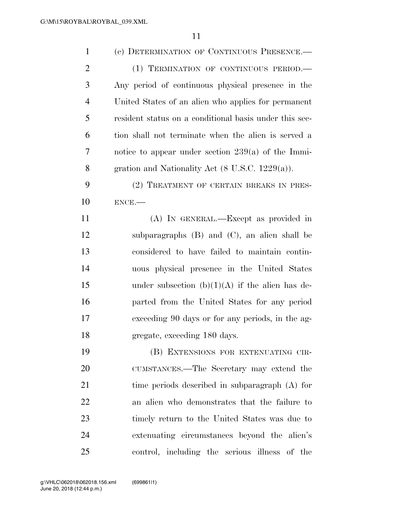| $\mathbf{1}$   | (c) DETERMINATION OF CONTINUOUS PRESENCE.-                  |
|----------------|-------------------------------------------------------------|
| $\overline{2}$ | (1) TERMINATION OF CONTINUOUS PERIOD.                       |
| 3              | Any period of continuous physical presence in the           |
| $\overline{4}$ | United States of an alien who applies for permanent         |
| 5              | resident status on a conditional basis under this sec-      |
| 6              | tion shall not terminate when the alien is served a         |
| 7              | notice to appear under section $239(a)$ of the Immi-        |
| 8              | gration and Nationality Act $(8 \text{ U.S.C. } 1229(a))$ . |
| 9              | (2) TREATMENT OF CERTAIN BREAKS IN PRES-                    |
| 10             | $ENCE$ .                                                    |
| 11             | (A) IN GENERAL.—Except as provided in                       |
| 12             | subparagraphs $(B)$ and $(C)$ , an alien shall be           |
| 13             | considered to have failed to maintain contin-               |
| 14             | uous physical presence in the United States                 |
| 15             | under subsection $(b)(1)(A)$ if the alien has de-           |
| 16             | parted from the United States for any period                |
| 17             | exceeding 90 days or for any periods, in the ag-            |
| 18             | gregate, exceeding 180 days.                                |
| 19             | (B) EXTENSIONS FOR EXTENUATING CIR-                         |
| 20             | CUMSTANCES.—The Secretary may extend the                    |
| 21             | time periods described in subparagraph (A) for              |
| 22             | an alien who demonstrates that the failure to               |
| 23             | timely return to the United States was due to               |
| 24             | extenuating circumstances beyond the alien's                |
| 25             | control, including the serious illness of the               |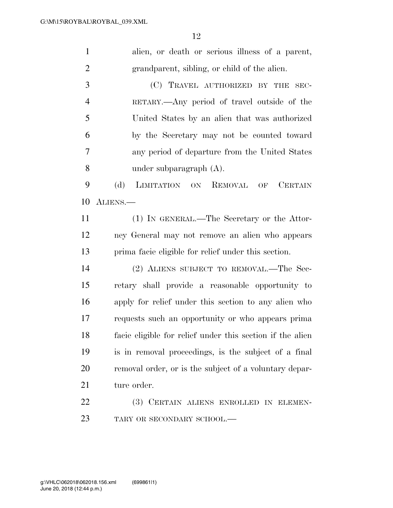| $\mathbf{1}$   | alien, or death or serious illness of a parent,           |
|----------------|-----------------------------------------------------------|
| $\overline{2}$ | grandparent, sibling, or child of the alien.              |
| 3              | (C) TRAVEL AUTHORIZED BY THE SEC-                         |
| $\overline{4}$ | RETARY.—Any period of travel outside of the               |
| 5              | United States by an alien that was authorized             |
| 6              | by the Secretary may not be counted toward                |
| 7              | any period of departure from the United States            |
| 8              | under subparagraph $(A)$ .                                |
| 9              | (d)<br>LIMITATION ON REMOVAL OF<br><b>CERTAIN</b>         |
| 10             | ALIENS.                                                   |
| 11             | (1) IN GENERAL.—The Secretary or the Attor-               |
| 12             | ney General may not remove an alien who appears           |
| 13             | prima facie eligible for relief under this section.       |
| 14             | (2) ALIENS SUBJECT TO REMOVAL.—The Sec-                   |
| 15             | retary shall provide a reasonable opportunity to          |
| 16             | apply for relief under this section to any alien who      |
| 17             | requests such an opportunity or who appears prima         |
| 18             | facie eligible for relief under this section if the alien |
| 19             | is in removal proceedings, is the subject of a final      |
| 20             | removal order, or is the subject of a voluntary depar-    |
| 21             | ture order.                                               |
| 22             | (3) CERTAIN ALIENS ENROLLED IN ELEMEN-                    |
| 23             | TARY OR SECONDARY SCHOOL.-                                |
|                |                                                           |
|                |                                                           |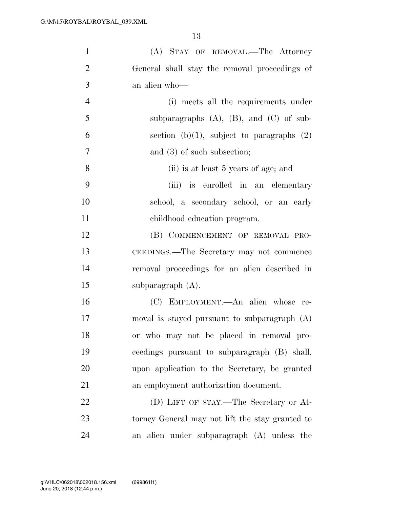| $\mathbf{1}$   | (A) STAY OF REMOVAL.—The Attorney               |
|----------------|-------------------------------------------------|
| $\overline{2}$ | General shall stay the removal proceedings of   |
| 3              | an alien who-                                   |
| $\overline{4}$ | (i) meets all the requirements under            |
| 5              | subparagraphs $(A)$ , $(B)$ , and $(C)$ of sub- |
| 6              | section (b) $(1)$ , subject to paragraphs $(2)$ |
| 7              | and $(3)$ of such subsection;                   |
| 8              | (ii) is at least 5 years of age; and            |
| 9              | (iii) is enrolled in an elementary              |
| 10             | school, a secondary school, or an early         |
| 11             | childhood education program.                    |
| 12             | (B) COMMENCEMENT OF REMOVAL PRO-                |
| 13             | CEEDINGS.—The Secretary may not commence        |
| 14             | removal proceedings for an alien described in   |
| 15             | subparagraph $(A)$ .                            |
| 16             | (C) EMPLOYMENT.—An alien whose re-              |
| 17             | moval is stayed pursuant to subparagraph $(A)$  |
| 18             | or who may not be placed in removal pro-        |
| 19             | ceedings pursuant to subparagraph (B) shall,    |
| 20             | upon application to the Secretary, be granted   |
| 21             | an employment authorization document.           |
| 22             | (D) LIFT OF STAY.—The Secretary or At-          |
| 23             | torney General may not lift the stay granted to |
| 24             | an alien under subparagraph (A) unless the      |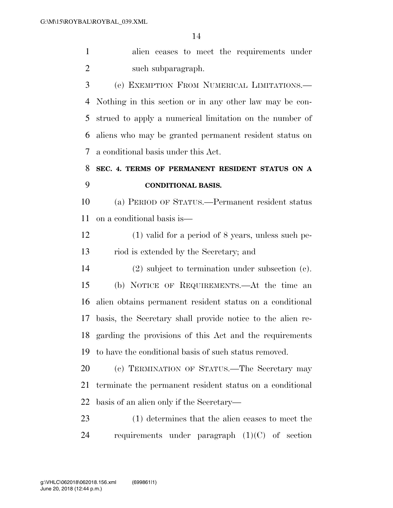alien ceases to meet the requirements under 2 such subparagraph.

 (e) EXEMPTION FROM NUMERICAL LIMITATIONS.— Nothing in this section or in any other law may be con- strued to apply a numerical limitation on the number of aliens who may be granted permanent resident status on a conditional basis under this Act.

### **SEC. 4. TERMS OF PERMANENT RESIDENT STATUS ON A CONDITIONAL BASIS.**

 (a) PERIOD OF STATUS.—Permanent resident status on a conditional basis is—

 (1) valid for a period of 8 years, unless such pe-riod is extended by the Secretary; and

 (2) subject to termination under subsection (c). (b) NOTICE OF REQUIREMENTS.—At the time an alien obtains permanent resident status on a conditional basis, the Secretary shall provide notice to the alien re- garding the provisions of this Act and the requirements to have the conditional basis of such status removed.

 (c) TERMINATION OF STATUS.—The Secretary may terminate the permanent resident status on a conditional basis of an alien only if the Secretary—

 (1) determines that the alien ceases to meet the requirements under paragraph (1)(C) of section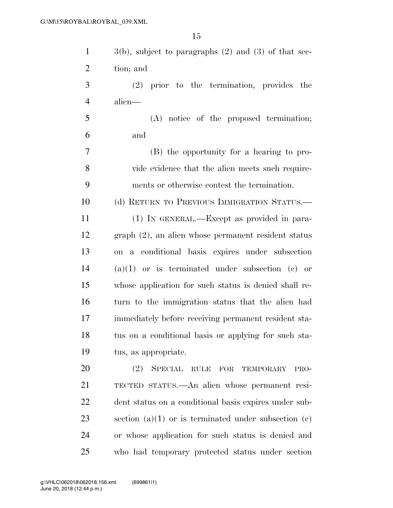| $\mathbf{1}$   | $3(b)$ , subject to paragraphs $(2)$ and $(3)$ of that sec- |
|----------------|-------------------------------------------------------------|
| $\overline{2}$ | tion; and                                                   |
| 3              | $(2)$ prior to the termination, provides the                |
| $\overline{4}$ | alien—                                                      |
| 5              | (A) notice of the proposed termination;                     |
| 6              | and                                                         |
| 7              | (B) the opportunity for a hearing to pro-                   |
| 8              | vide evidence that the alien meets such require-            |
| 9              | ments or otherwise contest the termination.                 |
| 10             | (d) RETURN TO PREVIOUS IMMIGRATION STATUS.—                 |
| 11             | (1) IN GENERAL.—Except as provided in para-                 |
| 12             | graph (2), an alien whose permanent resident status         |
| 13             | on a conditional basis expires under subsection             |
| 14             | $(a)(1)$ or is terminated under subsection (c) or           |
| 15             | whose application for such status is denied shall re-       |
| 16             | turn to the immigration status that the alien had           |
| 17             | immediately before receiving permanent resident sta-        |
| 18             | tus on a conditional basis or applying for such sta-        |
| 19             | tus, as appropriate.                                        |
| 20             | SPECIAL RULE<br>(2)<br>FOR<br>TEMPORARY<br>PRO-             |
| 21             | TECTED STATUS.—An alien whose permanent resi-               |
| 22             | dent status on a conditional basis expires under sub-       |
| 23             | section (a)(1) or is terminated under subsection (c)        |
| 24             | or whose application for such status is denied and          |
| 25             | who had temporary protected status under section            |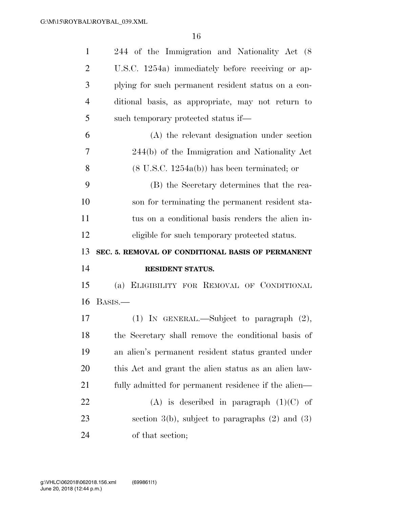| $\mathbf{1}$   | 244 of the Immigration and Nationality Act (8)         |
|----------------|--------------------------------------------------------|
| $\overline{2}$ | U.S.C. 1254a) immediately before receiving or ap-      |
| 3              | plying for such permanent resident status on a con-    |
| $\overline{4}$ | ditional basis, as appropriate, may not return to      |
| 5              | such temporary protected status if—                    |
| 6              | (A) the relevant designation under section             |
| 7              | 244(b) of the Immigration and Nationality Act          |
| 8              | $(8 \text{ U.S.C. } 1254a(b))$ has been terminated; or |
| 9              | (B) the Secretary determines that the rea-             |
| 10             | son for terminating the permanent resident sta-        |
| 11             | tus on a conditional basis renders the alien in-       |
| 12             | eligible for such temporary protected status.          |
|                |                                                        |
|                | SEC. 5. REMOVAL OF CONDITIONAL BASIS OF PERMANENT      |
| 13<br>14       | RESIDENT STATUS.                                       |
| 15             | (a) ELIGIBILITY FOR REMOVAL OF CONDITIONAL             |
| 16             | BASIS.—                                                |
| 17             | (1) IN GENERAL.—Subject to paragraph $(2)$ ,           |
| 18             | the Secretary shall remove the conditional basis of    |
| 19             | an alien's permanent resident status granted under     |
| 20             | this Act and grant the alien status as an alien law-   |
| 21             | fully admitted for permanent residence if the alien—   |
| 22             | $(A)$ is described in paragraph $(1)(C)$ of            |
| 23             | section $3(b)$ , subject to paragraphs $(2)$ and $(3)$ |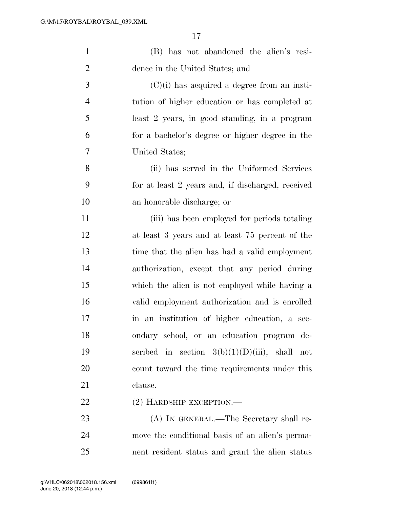| $\mathbf{1}$   | (B) has not abandoned the alien's resi-           |
|----------------|---------------------------------------------------|
| $\overline{2}$ | dence in the United States; and                   |
| $\mathfrak{Z}$ | $(C)(i)$ has acquired a degree from an insti-     |
| $\overline{4}$ | tution of higher education or has completed at    |
| 5              | least 2 years, in good standing, in a program     |
| 6              | for a bachelor's degree or higher degree in the   |
| 7              | United States;                                    |
| 8              | (ii) has served in the Uniformed Services         |
| 9              | for at least 2 years and, if discharged, received |
| 10             | an honorable discharge; or                        |
| 11             | (iii) has been employed for periods totaling      |
| 12             | at least 3 years and at least 75 percent of the   |
| 13             | time that the alien has had a valid employment    |
| 14             | authorization, except that any period during      |
| 15             | which the alien is not employed while having a    |
| 16             | valid employment authorization and is enrolled    |
| 17             | in an institution of higher education, a sec-     |
| 18             | ondary school, or an education program de-        |
| 19             | scribed in section $3(b)(1)(D(iii))$ , shall not  |
| 20             | count toward the time requirements under this     |
| 21             | clause.                                           |
| 22             | $(2)$ HARDSHIP EXCEPTION.—                        |
| 23             | (A) IN GENERAL.—The Secretary shall re-           |
| 24             | move the conditional basis of an alien's perma-   |
| 25             | nent resident status and grant the alien status   |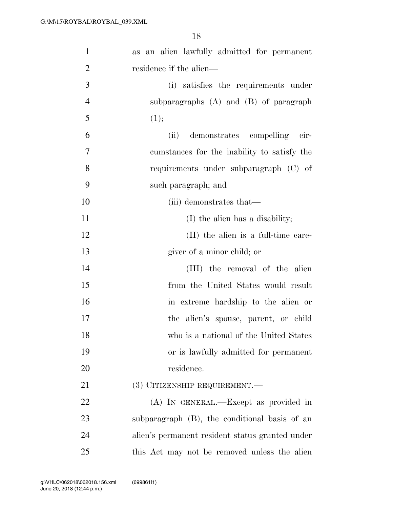| $\mathbf{1}$   | as an alien lawfully admitted for permanent     |
|----------------|-------------------------------------------------|
| $\overline{2}$ | residence if the alien—                         |
| 3              | (i) satisfies the requirements under            |
| $\overline{4}$ | subparagraphs $(A)$ and $(B)$ of paragraph      |
| 5              | (1);                                            |
| 6              | (ii)<br>demonstrates compelling<br>cir-         |
| 7              | cumstances for the inability to satisfy the     |
| 8              | requirements under subparagraph (C) of          |
| 9              | such paragraph; and                             |
| 10             | (iii) demonstrates that—                        |
| 11             | (I) the alien has a disability;                 |
| 12             | (II) the alien is a full-time care-             |
| 13             | giver of a minor child; or                      |
| 14             | (III) the removal of the alien                  |
| 15             | from the United States would result             |
| 16             | in extreme hardship to the alien or             |
| 17             | the alien's spouse, parent, or child            |
| 18             | who is a national of the United States          |
| 19             | or is lawfully admitted for permanent           |
| 20             | residence.                                      |
| 21             | (3) CITIZENSHIP REQUIREMENT.—                   |
| 22             | (A) IN GENERAL.—Except as provided in           |
| 23             | subparagraph (B), the conditional basis of an   |
| 24             | alien's permanent resident status granted under |
| 25             | this Act may not be removed unless the alien    |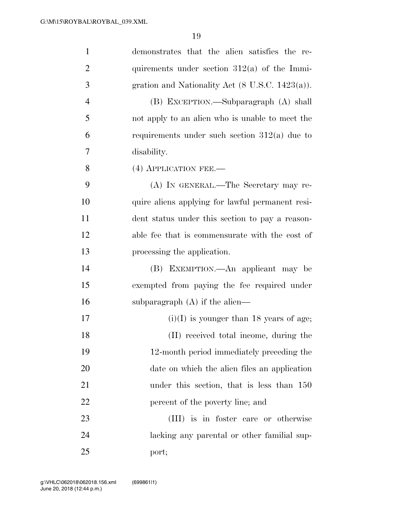| $\mathbf{1}$   | demonstrates that the alien satisfies the re-    |
|----------------|--------------------------------------------------|
| $\overline{2}$ | quirements under section $312(a)$ of the Immi-   |
| 3              | gration and Nationality Act (8 U.S.C. 1423(a)).  |
| $\overline{4}$ | (B) EXCEPTION.—Subparagraph (A) shall            |
| 5              | not apply to an alien who is unable to meet the  |
| 6              | requirements under such section $312(a)$ due to  |
| 7              | disability.                                      |
| 8              | (4) APPLICATION FEE.-                            |
| 9              | (A) IN GENERAL.—The Secretary may re-            |
| 10             | quire aliens applying for lawful permanent resi- |
| 11             | dent status under this section to pay a reason-  |
| 12             | able fee that is commensurate with the cost of   |
| 13             | processing the application.                      |
| 14             | (B) EXEMPTION.—An applicant may be               |
| 15             | exempted from paying the fee required under      |
| 16             | subparagraph $(A)$ if the alien—                 |
| 17             | $(i)(I)$ is younger than 18 years of age;        |
| 18             | (II) received total income, during the           |
| 19             | 12-month period immediately preceding the        |
| 20             | date on which the alien files an application     |
| 21             | under this section, that is less than 150        |
| 22             | percent of the poverty line; and                 |
| 23             | (III) is in foster care or otherwise             |
| 24             | lacking any parental or other familial sup-      |
| 25             | port;                                            |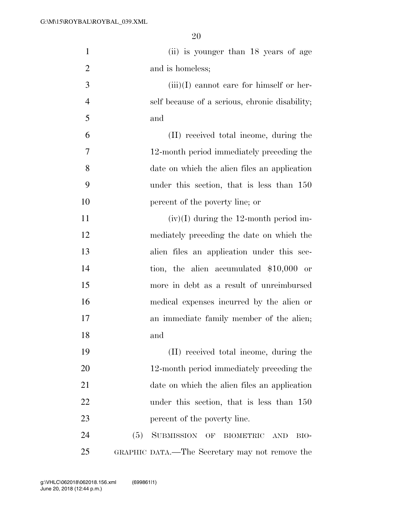| $\mathbf{1}$   | (ii) is younger than 18 years of age                           |
|----------------|----------------------------------------------------------------|
| $\overline{2}$ | and is homeless;                                               |
| 3              | $(iii)(I)$ cannot care for himself or her-                     |
| $\overline{4}$ | self because of a serious, chronic disability;                 |
| 5              | and                                                            |
| 6              | (II) received total income, during the                         |
| 7              | 12-month period immediately preceding the                      |
| 8              |                                                                |
|                | date on which the alien files an application                   |
| 9              | under this section, that is less than 150                      |
| 10             | percent of the poverty line; or                                |
| 11             | $(iv)(I)$ during the 12-month period im-                       |
| 12             | mediately preceding the date on which the                      |
| 13             | alien files an application under this sec-                     |
| 14             | tion, the alien accumulated $$10,000$ or                       |
| 15             | more in debt as a result of unreimbursed                       |
| 16             | medical expenses incurred by the alien or                      |
| 17             | an immediate family member of the alien;                       |
| 18             | and                                                            |
| 19             | (II) received total income, during the                         |
| 20             | 12-month period immediately preceding the                      |
| 21             | date on which the alien files an application                   |
| 22             | under this section, that is less than 150                      |
| 23             | percent of the poverty line.                                   |
| 24             | SUBMISSION OF<br>(5)<br><b>BIOMETRIC</b><br><b>AND</b><br>BIO- |
| 25             | GRAPHIC DATA.—The Secretary may not remove the                 |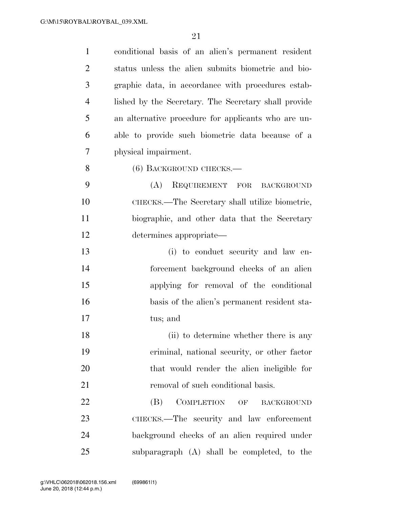| $\mathbf{1}$   | conditional basis of an alien's permanent resident   |
|----------------|------------------------------------------------------|
| $\overline{2}$ | status unless the alien submits biometric and bio-   |
| 3              | graphic data, in accordance with procedures estab-   |
| $\overline{4}$ | lished by the Secretary. The Secretary shall provide |
| 5              | an alternative procedure for applicants who are un-  |
| 6              | able to provide such biometric data because of a     |
| 7              | physical impairment.                                 |
| 8              | $(6)$ BACKGROUND CHECKS.—                            |
| 9              | (A)<br>REQUIREMENT FOR<br><b>BACKGROUND</b>          |
| 10             | CHECKS.—The Secretary shall utilize biometric,       |
| 11             | biographic, and other data that the Secretary        |
| 12             | determines appropriate—                              |
| 13             | (i) to conduct security and law en-                  |
| 14             | forcement background checks of an alien              |
| 15             | applying for removal of the conditional              |
| 16             | basis of the alien's permanent resident sta-         |
| 17             | tus; and                                             |
| 18             | (ii) to determine whether there is any               |
| 19             | criminal, national security, or other factor         |
| 20             | that would render the alien ineligible for           |
| 21             | removal of such conditional basis.                   |
| 22             | <b>COMPLETION</b><br>(B)<br>OF<br><b>BACKGROUND</b>  |
| 23             | CHECKS.—The security and law enforcement             |
| 24             | background checks of an alien required under         |
| 25             | subparagraph (A) shall be completed, to the          |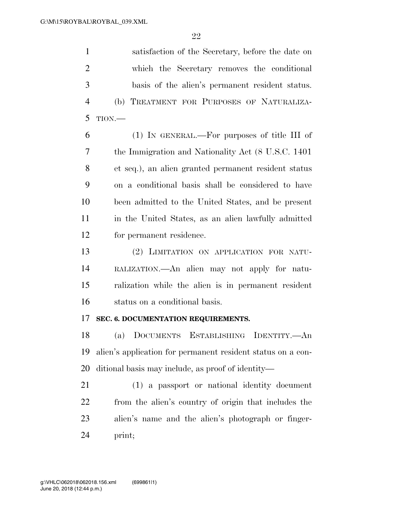satisfaction of the Secretary, before the date on which the Secretary removes the conditional basis of the alien's permanent resident status. (b) TREATMENT FOR PURPOSES OF NATURALIZA-TION.—

 (1) IN GENERAL.—For purposes of title III of the Immigration and Nationality Act (8 U.S.C. 1401 et seq.), an alien granted permanent resident status on a conditional basis shall be considered to have been admitted to the United States, and be present in the United States, as an alien lawfully admitted for permanent residence.

 (2) LIMITATION ON APPLICATION FOR NATU- RALIZATION.—An alien may not apply for natu- ralization while the alien is in permanent resident status on a conditional basis.

#### **SEC. 6. DOCUMENTATION REQUIREMENTS.**

 (a) DOCUMENTS ESTABLISHING IDENTITY.—An alien's application for permanent resident status on a con-ditional basis may include, as proof of identity—

 (1) a passport or national identity document from the alien's country of origin that includes the alien's name and the alien's photograph or finger-print;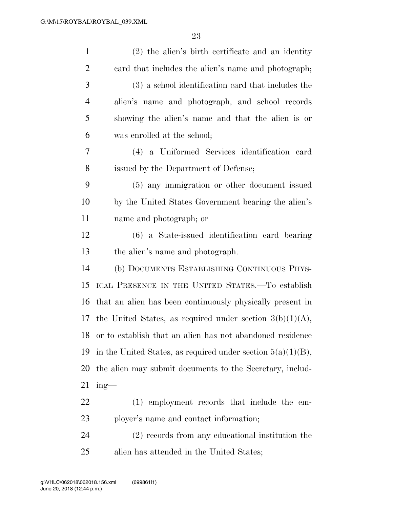| $\mathbf{1}$   | $(2)$ the alien's birth certificate and an identity            |
|----------------|----------------------------------------------------------------|
| $\overline{2}$ | eard that includes the alien's name and photograph;            |
| 3              | (3) a school identification card that includes the             |
| $\overline{4}$ | alien's name and photograph, and school records                |
| 5              | showing the alien's name and that the alien is or              |
| 6              | was enrolled at the school;                                    |
| 7              | (4) a Uniformed Services identification card                   |
| 8              | issued by the Department of Defense;                           |
| 9              | (5) any immigration or other document issued                   |
| 10             | by the United States Government bearing the alien's            |
| 11             | name and photograph; or                                        |
| 12             | (6) a State-issued identification card bearing                 |
| 13             | the alien's name and photograph.                               |
| 14             | (b) DOCUMENTS ESTABLISHING CONTINUOUS PHYS-                    |
| 15             | ICAL PRESENCE IN THE UNITED STATES.—To establish               |
| 16             | that an alien has been continuously physically present in      |
| 17             | the United States, as required under section $3(b)(1)(A)$ ,    |
| 18             | or to establish that an alien has not abandoned residence      |
| 19             | in the United States, as required under section $5(a)(1)(B)$ , |
| 20             | the alien may submit documents to the Secretary, includ-       |
| 21             | ing-                                                           |
| 22             | (1) employment records that include the em-                    |
| 23             | ployer's name and contact information;                         |
| 24             | (2) records from any educational institution the               |
| 25             | alien has attended in the United States;                       |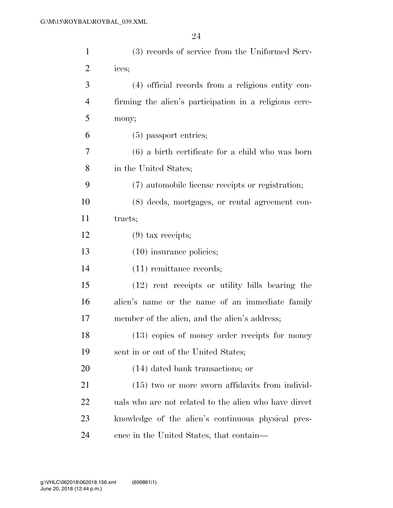| $\mathbf{1}$   | (3) records of service from the Uniformed Serv-        |
|----------------|--------------------------------------------------------|
| $\overline{c}$ | ices;                                                  |
| 3              | (4) official records from a religious entity con-      |
| $\overline{4}$ | firming the alien's participation in a religious cere- |
| 5              | mony;                                                  |
| 6              | $(5)$ passport entries;                                |
| 7              | $(6)$ a birth certificate for a child who was born     |
| 8              | in the United States;                                  |
| 9              | (7) automobile license receipts or registration;       |
| 10             | (8) deeds, mortgages, or rental agreement con-         |
| 11             | tracts;                                                |
| 12             | $(9)$ tax receipts;                                    |
| 13             | $(10)$ insurance policies;                             |
| 14             | $(11)$ remittance records;                             |
| 15             | (12) rent receipts or utility bills bearing the        |
| 16             | alien's name or the name of an immediate family        |
| 17             | member of the alien, and the alien's address;          |
| 18             | (13) copies of money order receipts for money          |
| 19             | sent in or out of the United States;                   |
| 20             | (14) dated bank transactions; or                       |
| 21             | $(15)$ two or more sworn affidavits from individ-      |
| 22             | uals who are not related to the alien who have direct  |
| 23             | knowledge of the alien's continuous physical pres-     |
| 24             | ence in the United States, that contain—               |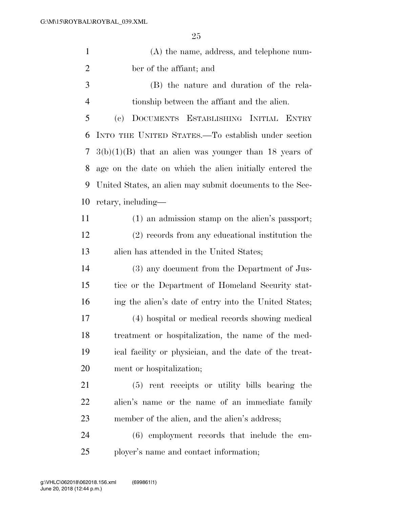| $\mathbf{1}$   | $(A)$ the name, address, and telephone num-              |
|----------------|----------------------------------------------------------|
| $\overline{2}$ | ber of the affiant; and                                  |
| 3              | (B) the nature and duration of the rela-                 |
| $\overline{4}$ | tionship between the affiant and the alien.              |
| 5              | DOCUMENTS ESTABLISHING INITIAL ENTRY<br>(e)              |
| 6              | INTO THE UNITED STATES.—To establish under section       |
| 7              | $3(b)(1)(B)$ that an alien was younger than 18 years of  |
| 8              | age on the date on which the alien initially entered the |
| 9              | United States, an alien may submit documents to the Sec- |
| 10             | retary, including—                                       |
| 11             | (1) an admission stamp on the alien's passport;          |
| 12             | (2) records from any educational institution the         |
| 13             | alien has attended in the United States;                 |
| 14             | (3) any document from the Department of Jus-             |
| 15             | tice or the Department of Homeland Security stat-        |
| 16             | ing the alien's date of entry into the United States;    |
| 17             | (4) hospital or medical records showing medical          |
| 18             | treatment or hospitalization, the name of the med-       |
| 19             | ical facility or physician, and the date of the treat-   |
| 20             | ment or hospitalization;                                 |
| 21             | rent receipts or utility bills bearing the<br>(5)        |
| 22             | alien's name or the name of an immediate family          |
| 23             | member of the alien, and the alien's address;            |
| 24             | $(6)$ employment records that include the em-            |
| 25             | ployer's name and contact information;                   |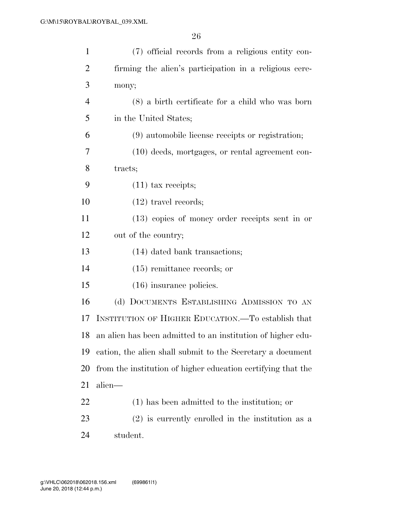| $\mathbf{1}$   | (7) official records from a religious entity con-            |
|----------------|--------------------------------------------------------------|
| $\overline{2}$ | firming the alien's participation in a religious cere-       |
| 3              | mony;                                                        |
| $\overline{4}$ | $(8)$ a birth certificate for a child who was born           |
| 5              | in the United States;                                        |
| 6              | (9) automobile license receipts or registration;             |
| 7              | $(10)$ deeds, mortgages, or rental agreement con-            |
| 8              | tracts;                                                      |
| 9              | $(11)$ tax receipts;                                         |
| 10             | $(12)$ travel records;                                       |
| 11             | $(13)$ copies of money order receipts sent in or             |
| 12             | out of the country;                                          |
| 13             | (14) dated bank transactions;                                |
| 14             | $(15)$ remittance records; or                                |
| 15             | $(16)$ insurance policies.                                   |
| 16             | (d) DOCUMENTS ESTABLISHING ADMISSION TO AN                   |
| 17             | INSTITUTION OF HIGHER EDUCATION.—To establish that           |
| 18             | an alien has been admitted to an institution of higher edu-  |
| 19             | cation, the alien shall submit to the Secretary a document   |
| 20             | from the institution of higher education certifying that the |
| 21             | alien—                                                       |
| <u>22</u>      | $(1)$ has been admitted to the institution; or               |
| 23             | $(2)$ is currently enrolled in the institution as a          |
| 24             | student.                                                     |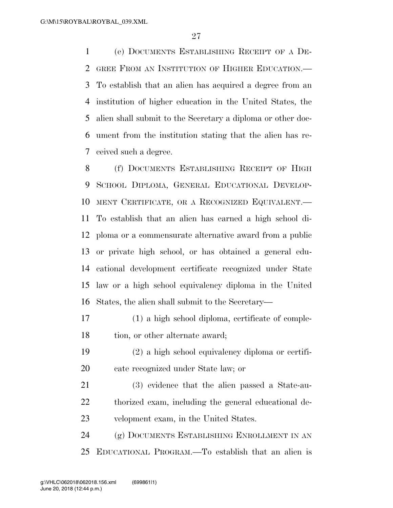(e) DOCUMENTS ESTABLISHING RECEIPT OF A DE- GREE FROM AN INSTITUTION OF HIGHER EDUCATION.— To establish that an alien has acquired a degree from an institution of higher education in the United States, the alien shall submit to the Secretary a diploma or other doc- ument from the institution stating that the alien has re-ceived such a degree.

 (f) DOCUMENTS ESTABLISHING RECEIPT OF HIGH SCHOOL DIPLOMA, GENERAL EDUCATIONAL DEVELOP- MENT CERTIFICATE, OR A RECOGNIZED EQUIVALENT.— To establish that an alien has earned a high school di- ploma or a commensurate alternative award from a public or private high school, or has obtained a general edu- cational development certificate recognized under State law or a high school equivalency diploma in the United States, the alien shall submit to the Secretary—

- (1) a high school diploma, certificate of comple-18 tion, or other alternate award;
- (2) a high school equivalency diploma or certifi-cate recognized under State law; or
- (3) evidence that the alien passed a State-au- thorized exam, including the general educational de-velopment exam, in the United States.

 (g) DOCUMENTS ESTABLISHING ENROLLMENT IN AN EDUCATIONAL PROGRAM.—To establish that an alien is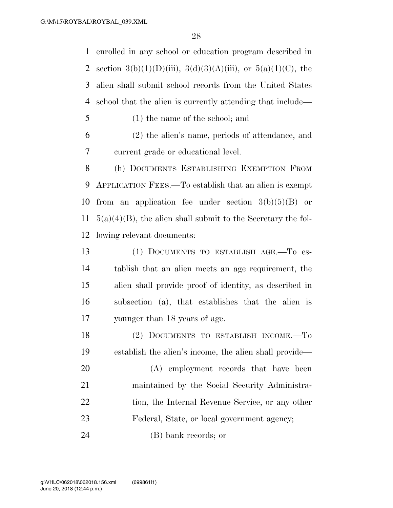enrolled in any school or education program described in 2 section 3(b)(1)(D)(iii), 3(d)(3)(A)(iii), or  $5(a)(1)(C)$ , the alien shall submit school records from the United States school that the alien is currently attending that include—

(1) the name of the school; and

 (2) the alien's name, periods of attendance, and current grade or educational level.

 (h) DOCUMENTS ESTABLISHING EXEMPTION FROM APPLICATION FEES.—To establish that an alien is exempt 10 from an application fee under section  $3(b)(5)(B)$  or  $5(a)(4)(B)$ , the alien shall submit to the Secretary the fol-lowing relevant documents:

 (1) DOCUMENTS TO ESTABLISH AGE.—To es- tablish that an alien meets an age requirement, the alien shall provide proof of identity, as described in subsection (a), that establishes that the alien is younger than 18 years of age.

 (2) DOCUMENTS TO ESTABLISH INCOME.—To establish the alien's income, the alien shall provide—

 (A) employment records that have been maintained by the Social Security Administra-22 tion, the Internal Revenue Service, or any other Federal, State, or local government agency;

(B) bank records; or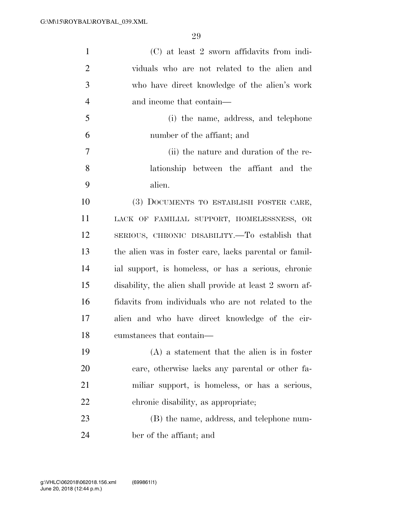| $\mathbf{1}$   | (C) at least 2 sworn affidavits from indi-               |
|----------------|----------------------------------------------------------|
| $\overline{2}$ | viduals who are not related to the alien and             |
| 3              | who have direct knowledge of the alien's work            |
| $\overline{4}$ | and income that contain—                                 |
| 5              | (i) the name, address, and telephone                     |
| 6              | number of the affiant; and                               |
| 7              | (ii) the nature and duration of the re-                  |
| 8              | lationship between the affiant and the                   |
| 9              | alien.                                                   |
| 10             | (3) DOCUMENTS TO ESTABLISH FOSTER CARE,                  |
| 11             | LACK OF FAMILIAL SUPPORT, HOMELESSNESS, OR               |
| 12             | SERIOUS, CHRONIC DISABILITY.—To establish that           |
| 13             | the alien was in foster care, lacks parental or famil-   |
| 14             | ial support, is homeless, or has a serious, chronic      |
| 15             | disability, the alien shall provide at least 2 sworn af- |
| 16             | fidavits from individuals who are not related to the     |
| 17             | alien and who have direct knowledge of the cir-          |
| 18             | cumstances that contain—                                 |
| 19             | $(A)$ a statement that the alien is in foster            |
| 20             | care, otherwise lacks any parental or other fa-          |
| 21             | miliar support, is homeless, or has a serious,           |
| 22             | chronic disability, as appropriate;                      |
| 23             | (B) the name, address, and telephone num-                |
| 24             | ber of the affiant; and                                  |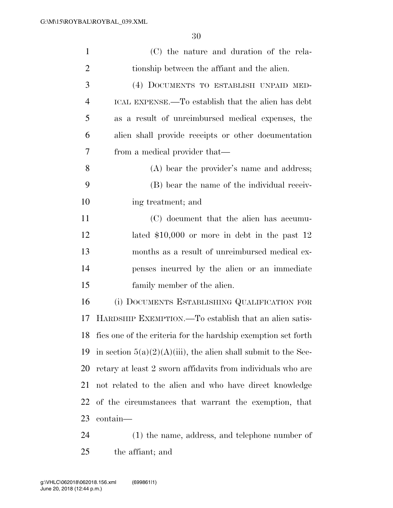| $\mathbf{1}$   | (C) the nature and duration of the rela-                          |
|----------------|-------------------------------------------------------------------|
| $\overline{2}$ | tionship between the affiant and the alien.                       |
| 3              | (4) DOCUMENTS TO ESTABLISH UNPAID MED-                            |
| $\overline{4}$ | ICAL EXPENSE.—To establish that the alien has debt                |
| 5              | as a result of unreimbursed medical expenses, the                 |
| 6              | alien shall provide receipts or other documentation               |
| 7              | from a medical provider that—                                     |
| 8              | (A) bear the provider's name and address;                         |
| 9              | (B) bear the name of the individual receiv-                       |
| 10             | ing treatment; and                                                |
| 11             | (C) document that the alien has accumu-                           |
| 12             | lated $$10,000$ or more in debt in the past 12                    |
| 13             | months as a result of unreimbursed medical ex-                    |
| 14             | penses incurred by the alien or an immediate                      |
| 15             | family member of the alien.                                       |
| 16             | (i) DOCUMENTS ESTABLISHING QUALIFICATION FOR                      |
| 17             | HARDSHIP EXEMPTION.—To establish that an alien satis-             |
| 18             | fies one of the criteria for the hardship exemption set forth     |
| 19             | in section $5(a)(2)(A)(iii)$ , the alien shall submit to the Sec- |
| 20             | retary at least 2 sworn affidavits from individuals who are       |
| 21             | not related to the alien and who have direct knowledge            |
| 22             | of the circumstances that warrant the exemption, that             |
| 23             | contain-                                                          |
| 24             | $(1)$ the name, address, and telephone number of                  |

the affiant; and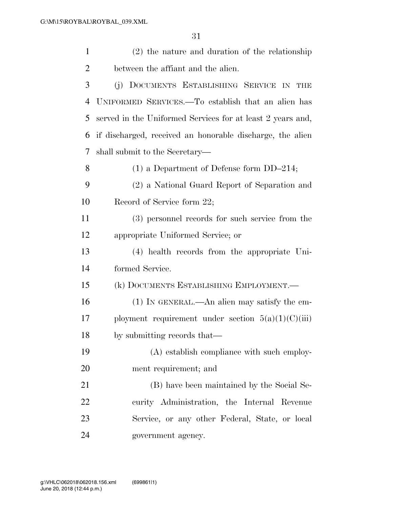| $\mathbf{1}$ | $(2)$ the nature and duration of the relationship          |
|--------------|------------------------------------------------------------|
| 2            | between the affiant and the alien.                         |
| 3            | (j) DOCUMENTS ESTABLISHING SERVICE IN<br><b>THE</b>        |
| 4            | UNIFORMED SERVICES.—To establish that an alien has         |
| 5            | served in the Uniformed Services for at least 2 years and, |
| 6            | if discharged, received an honorable discharge, the alien  |
| 7            | shall submit to the Secretary—                             |
| 8            | $(1)$ a Department of Defense form DD-214;                 |
| 9            | (2) a National Guard Report of Separation and              |
| 10           | Record of Service form 22;                                 |
| 11           | (3) personnel records for such service from the            |
| 12           | appropriate Uniformed Service; or                          |
| 13           | (4) health records from the appropriate Uni-               |
| 14           | formed Service.                                            |
| 15           | (k) DOCUMENTS ESTABLISHING EMPLOYMENT.—                    |
| 16           | (1) IN GENERAL.—An alien may satisfy the em-               |
| 17           | ployment requirement under section $5(a)(1)(C)(iii)$       |
| 18           | by submitting records that—                                |
| 19           | (A) establish compliance with such employ-                 |
| 20           | ment requirement; and                                      |
| 21           | (B) have been maintained by the Social Se-                 |
| 22           | curity Administration, the Internal Revenue                |
| 23           | Service, or any other Federal, State, or local             |
| 24           | government agency.                                         |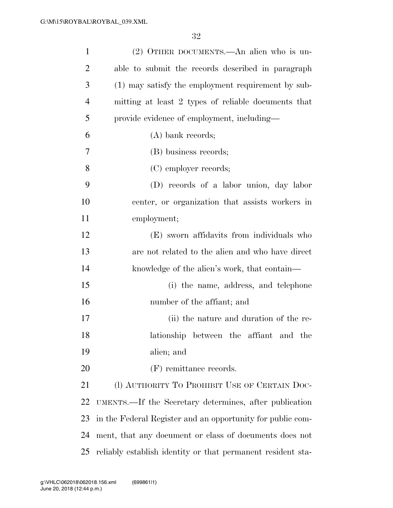| $\mathbf{1}$   | (2) OTHER DOCUMENTS.—An alien who is un-                    |
|----------------|-------------------------------------------------------------|
| $\overline{2}$ | able to submit the records described in paragraph           |
| 3              | (1) may satisfy the employment requirement by sub-          |
| $\overline{4}$ | mitting at least 2 types of reliable documents that         |
| 5              | provide evidence of employment, including—                  |
| 6              | $(A)$ bank records;                                         |
| 7              | (B) business records;                                       |
| 8              | (C) employer records;                                       |
| 9              | (D) records of a labor union, day labor                     |
| 10             | center, or organization that assists workers in             |
| 11             | employment;                                                 |
| 12             | (E) sworn affidavits from individuals who                   |
| 13             | are not related to the alien and who have direct            |
| 14             | knowledge of the alien's work, that contain—                |
| 15             | (i) the name, address, and telephone                        |
| 16             | number of the affiant; and                                  |
| 17             | (ii) the nature and duration of the re-                     |
| 18             | lationship between the affiant and the                      |
| 19             | alien; and                                                  |
| 20             | (F) remittance records.                                     |
| 21             | (I) AUTHORITY TO PROHIBIT USE OF CERTAIN DOC-               |
| 22             | UMENTS.—If the Secretary determines, after publication      |
| 23             | in the Federal Register and an opportunity for public com-  |
| 24             | ment, that any document or class of documents does not      |
| 25             | reliably establish identity or that permanent resident sta- |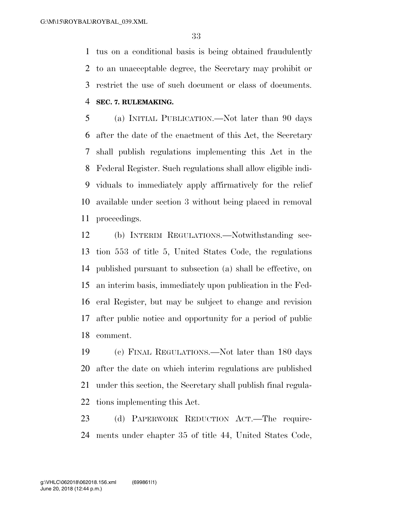tus on a conditional basis is being obtained fraudulently to an unacceptable degree, the Secretary may prohibit or restrict the use of such document or class of documents. **SEC. 7. RULEMAKING.** 

 (a) INITIAL PUBLICATION.—Not later than 90 days after the date of the enactment of this Act, the Secretary shall publish regulations implementing this Act in the Federal Register. Such regulations shall allow eligible indi- viduals to immediately apply affirmatively for the relief available under section 3 without being placed in removal proceedings.

 (b) INTERIM REGULATIONS.—Notwithstanding sec- tion 553 of title 5, United States Code, the regulations published pursuant to subsection (a) shall be effective, on an interim basis, immediately upon publication in the Fed- eral Register, but may be subject to change and revision after public notice and opportunity for a period of public comment.

 (c) FINAL REGULATIONS.—Not later than 180 days after the date on which interim regulations are published under this section, the Secretary shall publish final regula-tions implementing this Act.

 (d) PAPERWORK REDUCTION ACT.—The require-ments under chapter 35 of title 44, United States Code,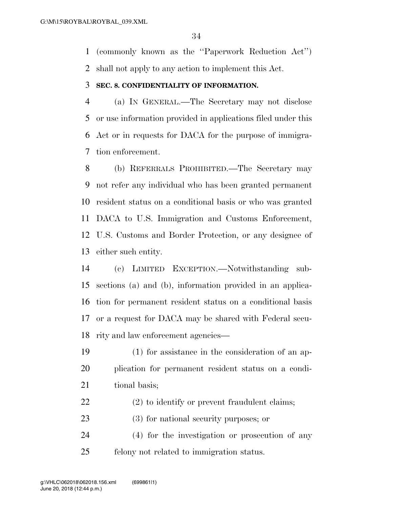(commonly known as the ''Paperwork Reduction Act'') shall not apply to any action to implement this Act.

#### **SEC. 8. CONFIDENTIALITY OF INFORMATION.**

 (a) IN GENERAL.—The Secretary may not disclose or use information provided in applications filed under this Act or in requests for DACA for the purpose of immigra-tion enforcement.

 (b) REFERRALS PROHIBITED.—The Secretary may not refer any individual who has been granted permanent resident status on a conditional basis or who was granted DACA to U.S. Immigration and Customs Enforcement, U.S. Customs and Border Protection, or any designee of either such entity.

 (c) LIMITED EXCEPTION.—Notwithstanding sub- sections (a) and (b), information provided in an applica- tion for permanent resident status on a conditional basis or a request for DACA may be shared with Federal secu-rity and law enforcement agencies—

- (1) for assistance in the consideration of an ap- plication for permanent resident status on a condi-21 tional basis;
- (2) to identify or prevent fraudulent claims;
- (3) for national security purposes; or
- (4) for the investigation or prosecution of any felony not related to immigration status.